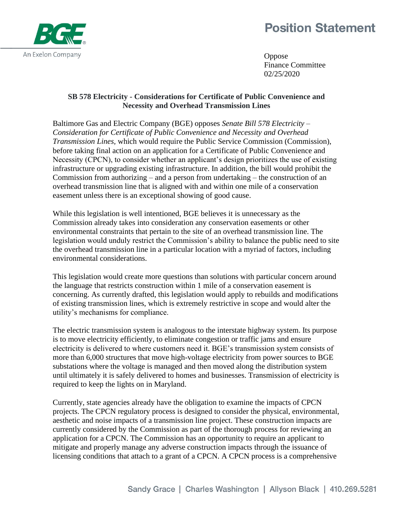## **Position Statement**



Oppose Finance Committee 02/25/2020

## **SB 578 Electricity - Considerations for Certificate of Public Convenience and Necessity and Overhead Transmission Lines**

Baltimore Gas and Electric Company (BGE) opposes *Senate Bill 578 Electricity – Consideration for Certificate of Public Convenience and Necessity and Overhead Transmission Lines,* which would require the Public Service Commission (Commission), before taking final action on an application for a Certificate of Public Convenience and Necessity (CPCN), to consider whether an applicant's design prioritizes the use of existing infrastructure or upgrading existing infrastructure. In addition, the bill would prohibit the Commission from authorizing – and a person from undertaking – the construction of an overhead transmission line that is aligned with and within one mile of a conservation easement unless there is an exceptional showing of good cause.

While this legislation is well intentioned, BGE believes it is unnecessary as the Commission already takes into consideration any conservation easements or other environmental constraints that pertain to the site of an overhead transmission line. The legislation would unduly restrict the Commission's ability to balance the public need to site the overhead transmission line in a particular location with a myriad of factors, including environmental considerations.

This legislation would create more questions than solutions with particular concern around the language that restricts construction within 1 mile of a conservation easement is concerning. As currently drafted, this legislation would apply to rebuilds and modifications of existing transmission lines, which is extremely restrictive in scope and would alter the utility's mechanisms for compliance.

The electric transmission system is analogous to the interstate highway system. Its purpose is to move electricity efficiently, to eliminate congestion or traffic jams and ensure electricity is delivered to where customers need it. BGE's transmission system consists of more than 6,000 structures that move high-voltage electricity from power sources to BGE substations where the voltage is managed and then moved along the distribution system until ultimately it is safely delivered to homes and businesses. Transmission of electricity is required to keep the lights on in Maryland.

Currently, state agencies already have the obligation to examine the impacts of CPCN projects. The CPCN regulatory process is designed to consider the physical, environmental, aesthetic and noise impacts of a transmission line project. These construction impacts are currently considered by the Commission as part of the thorough process for reviewing an application for a CPCN. The Commission has an opportunity to require an applicant to mitigate and properly manage any adverse construction impacts through the issuance of licensing conditions that attach to a grant of a CPCN. A CPCN process is a comprehensive